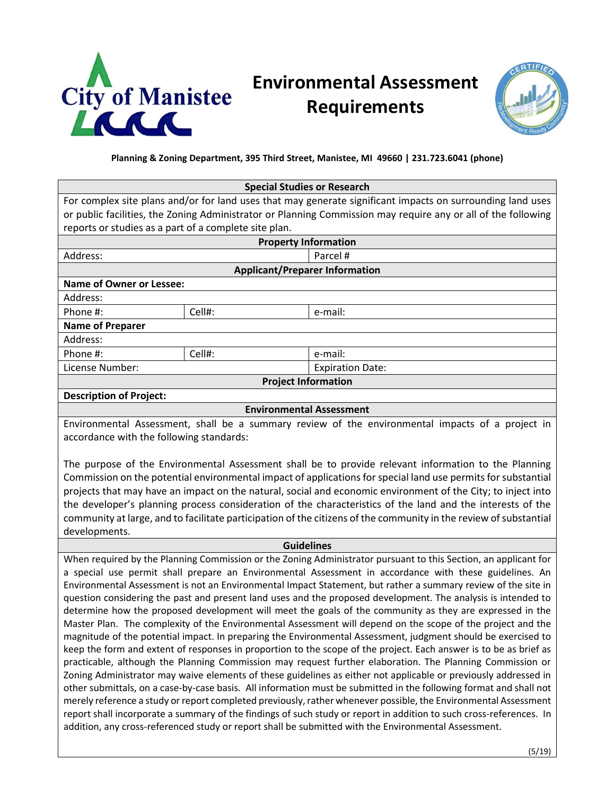

## **Environmental Assessment Requirements**



**Planning & Zoning Department, 395 Third Street, Manistee, MI 49660 | 231.723.6041 (phone)**

| <b>Special Studies or Research</b>                                                                                                                                                                                          |                                                                                                                 |                                                                                                              |  |  |
|-----------------------------------------------------------------------------------------------------------------------------------------------------------------------------------------------------------------------------|-----------------------------------------------------------------------------------------------------------------|--------------------------------------------------------------------------------------------------------------|--|--|
| For complex site plans and/or for land uses that may generate significant impacts on surrounding land uses                                                                                                                  |                                                                                                                 |                                                                                                              |  |  |
| or public facilities, the Zoning Administrator or Planning Commission may require any or all of the following                                                                                                               |                                                                                                                 |                                                                                                              |  |  |
| reports or studies as a part of a complete site plan.                                                                                                                                                                       |                                                                                                                 |                                                                                                              |  |  |
|                                                                                                                                                                                                                             | <b>Property Information</b>                                                                                     |                                                                                                              |  |  |
| Address:                                                                                                                                                                                                                    |                                                                                                                 | Parcel #                                                                                                     |  |  |
| <b>Applicant/Preparer Information</b>                                                                                                                                                                                       |                                                                                                                 |                                                                                                              |  |  |
| <b>Name of Owner or Lessee:</b>                                                                                                                                                                                             |                                                                                                                 |                                                                                                              |  |  |
| Address:                                                                                                                                                                                                                    |                                                                                                                 |                                                                                                              |  |  |
| Phone #:                                                                                                                                                                                                                    | Cell#:                                                                                                          | e-mail:                                                                                                      |  |  |
| <b>Name of Preparer</b>                                                                                                                                                                                                     |                                                                                                                 |                                                                                                              |  |  |
| Address:                                                                                                                                                                                                                    |                                                                                                                 |                                                                                                              |  |  |
| Phone #:                                                                                                                                                                                                                    | Cell#:                                                                                                          | e-mail:                                                                                                      |  |  |
| License Number:                                                                                                                                                                                                             |                                                                                                                 | <b>Expiration Date:</b>                                                                                      |  |  |
|                                                                                                                                                                                                                             | <b>Project Information</b>                                                                                      |                                                                                                              |  |  |
| <b>Description of Project:</b>                                                                                                                                                                                              |                                                                                                                 |                                                                                                              |  |  |
|                                                                                                                                                                                                                             | <b>Environmental Assessment</b>                                                                                 |                                                                                                              |  |  |
| Environmental Assessment, shall be a summary review of the environmental impacts of a project in                                                                                                                            |                                                                                                                 |                                                                                                              |  |  |
| accordance with the following standards:                                                                                                                                                                                    |                                                                                                                 |                                                                                                              |  |  |
|                                                                                                                                                                                                                             |                                                                                                                 |                                                                                                              |  |  |
| The purpose of the Environmental Assessment shall be to provide relevant information to the Planning                                                                                                                        |                                                                                                                 |                                                                                                              |  |  |
| Commission on the potential environmental impact of applications for special land use permits for substantial                                                                                                               |                                                                                                                 |                                                                                                              |  |  |
|                                                                                                                                                                                                                             |                                                                                                                 | projects that may have an impact on the natural, social and economic environment of the City; to inject into |  |  |
| the developer's planning process consideration of the characteristics of the land and the interests of the                                                                                                                  |                                                                                                                 |                                                                                                              |  |  |
| community at large, and to facilitate participation of the citizens of the community in the review of substantial                                                                                                           |                                                                                                                 |                                                                                                              |  |  |
| developments.                                                                                                                                                                                                               |                                                                                                                 |                                                                                                              |  |  |
| <b>Guidelines</b>                                                                                                                                                                                                           |                                                                                                                 |                                                                                                              |  |  |
| When required by the Planning Commission or the Zoning Administrator pursuant to this Section, an applicant for                                                                                                             |                                                                                                                 |                                                                                                              |  |  |
| a special use permit shall prepare an Environmental Assessment in accordance with these guidelines. An                                                                                                                      |                                                                                                                 |                                                                                                              |  |  |
| Environmental Assessment is not an Environmental Impact Statement, but rather a summary review of the site in                                                                                                               |                                                                                                                 |                                                                                                              |  |  |
| question considering the past and present land uses and the proposed development. The analysis is intended to                                                                                                               |                                                                                                                 |                                                                                                              |  |  |
| determine how the proposed development will meet the goals of the community as they are expressed in the                                                                                                                    |                                                                                                                 |                                                                                                              |  |  |
| Master Plan. The complexity of the Environmental Assessment will depend on the scope of the project and the                                                                                                                 |                                                                                                                 |                                                                                                              |  |  |
| magnitude of the potential impact. In preparing the Environmental Assessment, judgment should be exercised to                                                                                                               |                                                                                                                 |                                                                                                              |  |  |
| keep the form and extent of responses in proportion to the scope of the project. Each answer is to be as brief as                                                                                                           |                                                                                                                 |                                                                                                              |  |  |
| practicable, although the Planning Commission may request further elaboration. The Planning Commission or                                                                                                                   |                                                                                                                 |                                                                                                              |  |  |
| Zoning Administrator may waive elements of these guidelines as either not applicable or previously addressed in                                                                                                             |                                                                                                                 |                                                                                                              |  |  |
| other submittals, on a case-by-case basis. All information must be submitted in the following format and shall not                                                                                                          |                                                                                                                 |                                                                                                              |  |  |
|                                                                                                                                                                                                                             | merely reference a study or report completed previously, rather whenever possible, the Environmental Assessment |                                                                                                              |  |  |
| report shall incorporate a summary of the findings of such study or report in addition to such cross-references. In<br>addition, any cross-referenced study or report shall be submitted with the Environmental Assessment. |                                                                                                                 |                                                                                                              |  |  |
|                                                                                                                                                                                                                             |                                                                                                                 |                                                                                                              |  |  |